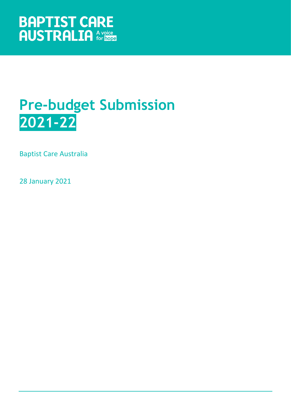# **Pre-budget Submission 2021-22**

Baptist Care Australia

28 January 2021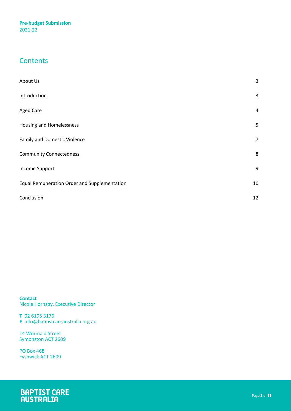## **Contents**

| About Us                                     | 3              |
|----------------------------------------------|----------------|
| Introduction                                 | 3              |
| <b>Aged Care</b>                             | 4              |
| Housing and Homelessness                     | 5              |
| <b>Family and Domestic Violence</b>          | $\overline{7}$ |
| <b>Community Connectedness</b>               | 8              |
| Income Support                               | 9              |
| Equal Remuneration Order and Supplementation | 10             |
| Conclusion                                   | 12             |

**Contact** Nicole Hornsby, Executive Director

**T** 02 6195 3176 **E** info@baptistcareaustralia.org.au

14 Wormald Street Symonston ACT 2609

PO Box 468 Fyshwick ACT 2609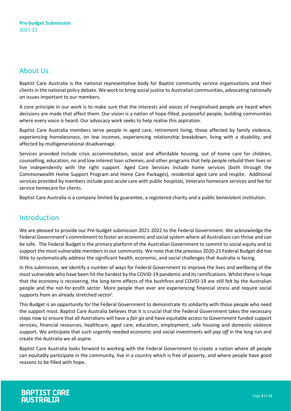## <span id="page-2-0"></span>About Us

Baptist Care Australia is the national representative body for Baptist community service organisations and their clients in the national policy debate. We work to bring social justice to Australian communities, advocating nationally on issues important to our members.

A core principle in our work is to make sure that the interests and voices of marginalised people are heard when decisions are made that affect them. Our vision is a nation of hope-filled, purposeful people, building communities where every voice is heard. Our advocacy work seeks to help realise this aspiration.

Baptist Care Australia members serve people in aged care, retirement living, those affected by family violence, experiencing homelessness, on low incomes, experiencing relationship breakdown, living with a disability, and affected by multigenerational disadvantage.

Services provided include crisis accommodation, social and affordable housing, out of home care for children, counselling, education, no and low interest loan schemes, and other programs that help people rebuild their lives or live independently with the right support. Aged Care Services include home services (both through the Commonwealth Home Support Program and Home Care Packages), residential aged care and respite. Additional services provided by members include post-acute care with public hospitals, Veterans homecare services and fee for service homecare for clients.

<span id="page-2-1"></span>Baptist Care Australia is a company limited by guarantee, a registered charity and a public benevolent institution.

## Introduction

We are pleased to provide our Pre-budget submission 2021-2022 to the Federal Government. We acknowledge the Federal Government's commitment to foster an economic and social system where all Australians can thrive and can be safe. The Federal Budget is the primary platform of the Australian Government to commit to social equity and to support the most vulnerable members in our community. We note that the previous 2020-21 Federal Budget did too little to systematically address the significant health, economic, and social challenges that Australia is facing.

In this submission, we identify a number of ways for Federal Government to improve the lives and wellbeing of the most vulnerable who have been hit the hardest by the COVID-19 pandemic and its ramifications. Whilst there is hope that the economy is recovering, the long-term effects of the bushfires and COVID-19 are still felt by the Australian people and the not-for-profit sector. More people than ever are experiencing financial stress and require social supports from an already stretched sector<sup>i</sup>.

This Budget is an opportunity for the Federal Government to demonstrate its solidarity with those people who need the support most. Baptist Care Australia believes that it is crucial that the Federal Government takes the necessary steps now to ensure that all Australians will have a *fair go* and have equitable access to Government funded support services, financial resources, healthcare, aged care, education, employment, safe housing and domestic violence support. We anticipate that such urgently needed economic and social investments will *pay off* in the long run and create the Australia we all aspire.

Baptist Care Australia looks forward to working with the Federal Government to create a nation where all people can equitably participate in the community, live in a country which is free of poverty, and where people have good reasons to be filled with hope.

# **BAPTIST CARE**<br>AUSTRALIA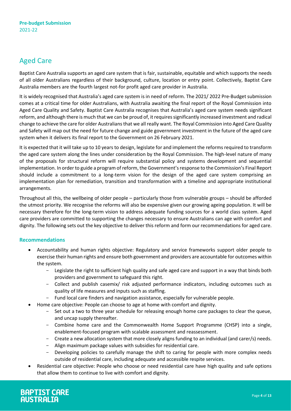## <span id="page-3-0"></span>Aged Care

Baptist Care Australia supports an aged care system that is fair, sustainable, equitable and which supports the needs of all older Australians regardless of their background, culture, location or entry point. Collectively, Baptist Care Australia members are the fourth largest not-for profit aged care provider in Australia.

It is widely recognised that Australia's aged care system is in need of reform. The 2021/ 2022 Pre-Budget submission comes at a critical time for older Australians, with Australia awaiting the final report of the Royal Commission into Aged Care Quality and Safety. Baptist Care Australia recognises that Australia's aged care system needs significant reform, and although there is much that we can be proud of, it requires significantly increased investment and radical change to achieve the care for older Australians that we all really want. The Royal Commission into Aged Care Quality and Safety will map out the need for future change and guide government investment in the future of the aged care system when it delivers its final report to the Government on 26 February 2021.

It is expected that it will take up to 10 years to design, legislate for and implement the reforms required to transform the aged care system along the lines under consideration by the Royal Commission. The high-level nature of many of the proposals for structural reform will require substantial policy and systems development and sequential implementation. In order to guide a program of reform, the Government's response to the Commission's Final Report should include a commitment to a long-term vision for the design of the aged care system comprising an implementation plan for remediation, transition and transformation with a timeline and appropriate institutional arrangements.

Throughout all this, the wellbeing of older people – particularly those from vulnerable groups – should be afforded the utmost priority. We recognise the reforms will also be expensive given our growing ageing population. It will be necessary therefore for the long-term vision to address adequate funding sources for a world class system. Aged care providers are committed to supporting the changes necessary to ensure Australians can age with comfort and dignity. The following sets out the key objective to deliver this reform and form our recommendations for aged care.

### **Recommendations**

- Accountability and human rights objective: Regulatory and service frameworks support older people to exercise their human rights and ensure both government and providers are accountable for outcomes within the system.
	- Legislate the right to sufficient high quality and safe aged care and support in a way that binds both providers and government to safeguard this right.
	- Collect and publish casemix/ risk adjusted performance indicators, including outcomes such as quality of life measures and inputs such as staffing.
	- Fund local care finders and navigation assistance, especially for vulnerable people.
	- Home care objective: People can choose to age at home with comfort and dignity.
		- Set out a two to three year schedule for releasing enough home care packages to clear the queue, and uncap supply thereafter.
		- Combine home care and the Commonwealth Home Support Programme (CHSP) into a single, enablement-focused program with scalable assessment and reassessment.
		- Create a new allocation system that more closely aligns funding to an individual (and carer/s) needs.
		- Align maximum package values with subsidies for residential care.
		- Developing policies to carefully manage the shift to caring for people with more complex needs outside of residential care, including adequate and accessible respite services.
- Residential care objective: People who choose or need residential care have high quality and safe options that allow them to continue to live with comfort and dignity.

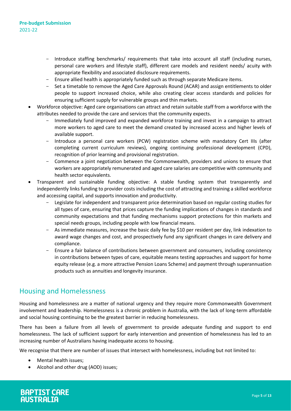- Introduce staffing benchmarks/ requirements that take into account all staff (including nurses, personal care workers and lifestyle staff), different care models and resident needs/ acuity with appropriate flexibility and associated disclosure requirements.
- Ensure allied health is appropriately funded such as through separate Medicare items.
- Set a timetable to remove the Aged Care Approvals Round (ACAR) and assign entitlements to older people to support increased choice, while also creating clear access standards and policies for ensuring sufficient supply for vulnerable groups and thin markets.
- Workforce objective: Aged care organisations can attract and retain suitable staff from a workforce with the attributes needed to provide the care and services that the community expects.
	- Immediately fund improved and expanded workforce training and invest in a campaign to attract more workers to aged care to meet the demand created by increased access and higher levels of available support.
	- Introduce a personal care workers (PCW) registration scheme with mandatory Cert IIIs (after completing current curriculum reviews), ongoing continuing professional development (CPD), recognition of prior learning and provisional registration.
	- Commence a joint negotiation between the Commonwealth, providers and unions to ensure that workers are appropriately remunerated and aged care salaries are competitive with community and health sector equivalents.
- Transparent and sustainable funding objective: A stable funding system that transparently and independently links funding to provider costs including the cost of attracting and training a skilled workforce and accessing capital, and supports innovation and productivity.
	- Legislate for independent and transparent price determination based on regular costing studies for all types of care, ensuring that prices capture the funding implications of changes in standards and community expectations and that funding mechanisms support protections for thin markets and special needs groups, including people with low financial means.
	- As immediate measures, increase the basic daily fee by \$10 per resident per day, link indexation to award wage changes and cost, and prospectively fund any significant changes in care delivery and compliance.
	- Ensure a fair balance of contributions between government and consumers, including consistency in contributions between types of care, equitable means testing approaches and support for home equity release (e.g. a more attractive Pension Loans Scheme) and payment through superannuation products such as annuities and longevity insurance.

### <span id="page-4-0"></span>Housing and Homelessness

Housing and homelessness are a matter of national urgency and they require more Commonwealth Government involvement and leadership. Homelessness is a chronic problem in Australia, with the lack of long-term affordable and social housing continuing to be the greatest barrier in reducing homelessness.

There has been a failure from all levels of government to provide adequate funding and support to end homelessness. The lack of sufficient support for early intervention and prevention of homelessness has led to an increasing number of Australians having inadequate access to housing.

We recognise that there are number of issues that intersect with homelessness, including but not limited to:

- Mental health issues;
- Alcohol and other drug (AOD) issues;

**BAPTIST CARE**<br>AUSTRALIA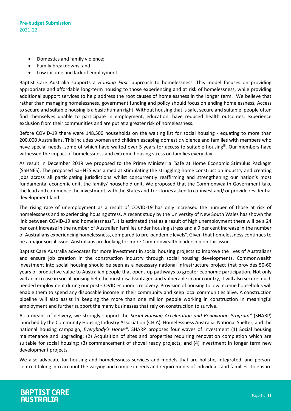- Domestics and family violence;
- Family breakdowns; and
- Low income and lack of employment.

Baptist Care Australia supports a *Housing Firstii* approach to homelessness. This model focuses on providing appropriate and affordable long-term housing to those experiencing and at risk of homelessness, while providing additional support services to help address the root causes of homelessness in the longer term. We believe that rather than managing homelessness, government funding and policy should focus on ending homelessness. Access to secure and suitable housing is a basic human right. Without housing that is safe, secure and suitable, people often find themselves unable to participate in employment, education, have reduced health outcomes, experience exclusion from their communities and are put at a greater risk of homelessness.

Before COVID-19 there were 148,500 households on the waiting list for social housing - equating to more than 200,000 Australians. This includes women and children escaping domestic violence and families with members who have special needs, some of which have waited over 5 years for access to suitable housingii. Our members have witnessed the impact of homelessness and extreme housing stress on families every day.

As result in December 2019 we proposed to the Prime Minister a 'Safe at Home Economic Stimulus Package' (SaHNES). The proposed SaHNES was aimed at stimulating the struggling home construction industry and creating jobs across all participating jurisdictions whilst concurrently reaffirming and strengthening our nation's most fundamental economic unit, the family/ household unit. We proposed that the Commonwealth Government take the lead and commence the investment, with the States and Territories asked to co-invest and/ or provide residential development land.

The rising rate of unemployment as a result of COVID-19 has only increased the number of those at risk of homelessness and experiencing housing stress. A recent study by the University of New South Wales has shown the link between COVID-19 and homelessness<sup>iv</sup>. It is estimated that as a result of high unemployment there will be a 24 per cent increase in the number of Australian families under housing stress and a 9 per cent increase in the number of Australians experiencing homelessness, compared to pre-pandemic levels<sup>y</sup>. Given that homelessness continues to be a major social issue, Australians are looking for more Commonwealth leadership on this issue.

Baptist Care Australia advocates for more investment in social housing projects to improve the lives of Australians and ensure job creation in the construction industry through social housing developments. Commonwealth investment into social housing should be seen as a necessary national infrastructure project that provides 50-60 years of productive value to Australian people that opens up pathways to greater economic participation. Not only will an increase in social housing help the most disadvantaged and vulnerable in our country, it will also secure much needed employment during our post-COVID economic recovery. Provision of housing to low income households will enable them to spend any disposable income in their community and keep local communities alive. A construction pipeline will also assist in keeping the more than one million people working in construction in meaningful employment and further support the many businesses that rely on construction to survive.

As a means of delivery, we strongly support the *Social Housing Acceleration and Renovation Program*<sup>vi</sup> (SHARP) launched by the Community Housing Industry Association (CHIA), Homelessness Australia, National Shelter, and the national housing campaign, *Everybody's Home*vii. SHARP proposes four waves of investment (1) Social housing maintenance and upgrading; (2) Acquisition of sites and properties requiring renovation completion which are suitable for social housing; (3) commencement of shovel ready projects; and (4) Investment in longer term new development projects.

We also advocate for housing and homelessness services and models that are holistic, integrated, and personcentred taking into account the varying and complex needs and requirements of individuals and families. To ensure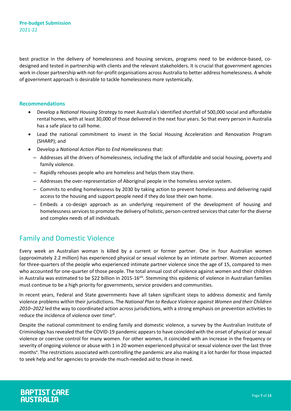best practice in the delivery of homelessness and housing services, programs need to be evidence-based, codesigned and tested in partnership with clients and the relevant stakeholders. It is crucial that government agencies work in closer partnership with not-for-profit organisations across Australia to better address homelessness. A whole of government approach is desirable to tackle homelessness more systemically.

#### **Recommendations**

- Develop a *National Housing Strategy* to meet Australia's identified shortfall of 500,000 social and affordable rental homes, with at least 30,000 of those delivered in the next four years. So that every person in Australia has a safe place to call home.
- Lead the national commitment to invest in the Social Housing Acceleration and Renovation Program (SHARP); and
- Develop a *National Action Plan to End Homelessness* that:
	- Addresses all the drivers of homelessness, including the lack of affordable and social housing, poverty and family violence.
	- Rapidly rehouses people who are homeless and helps them stay there.
	- Addresses the over-representation of Aboriginal people in the homeless service system.
	- Commits to ending homelessness by 2030 by taking action to prevent homelessness and delivering rapid access to the housing and support people need if they do lose their own home.
	- Embeds a co-design approach as an underlying requirement of the development of housing and homelessness services to promote the delivery of holistic, person-centred services that cater for the diverse and complex needs of all individuals.

### <span id="page-6-0"></span>Family and Domestic Violence

Every week an Australian woman is killed by a current or former partner. One in four Australian women (approximately 2.2 million) has experienced physical or sexual violence by an intimate partner. Women accounted for three-quarters of the people who experienced intimate partner violence since the age of 15, compared to men who accounted for one-quarter of those people. The total annual cost of violence against women and their children in Australia was estimated to be \$22 billion in 2015-16viii. Stemming this epidemic of violence in Australian families must continue to be a high priority for governments, service providers and communities.

In recent years, Federal and State governments have all taken significant steps to address domestic and family violence problems within their jurisdictions. The *National Plan to Reduce Violence against Women and their Children 2010–2022* led the way to coordinated action across jurisdictions, with a strong emphasis on prevention activities to reduce the incidence of violence over time*ix* .

Despite the national commitment to ending family and domestic violence, a survey by the Australian Institute of Criminology has revealed that the COVID-19 pandemic appears to have coincided with the onset of physical or sexual violence or coercive control for many women. For other women, it coincided with an increase in the frequency or severity of ongoing violence or abuse with 1 in 20 women experienced physical or sexual violence over the last three months<sup>x</sup>. The restrictions associated with controlling the pandemic are also making it a lot harder for those impacted to seek help and for agencies to provide the much-needed aid to those in need.

# **BAPTIST CARE**<br>AUSTRALIA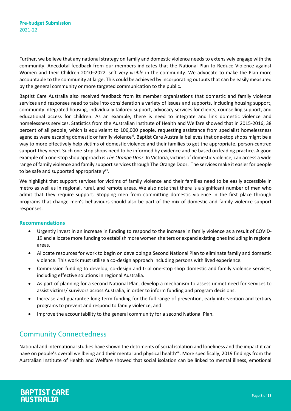Further, we believe that any national strategy on family and domestic violence needs to extensively engage with the community. Anecdotal feedback from our members indicates that the National Plan to Reduce Violence against Women and their Children 2010–2022 isn't very *visible* in the community. We advocate to make the Plan more accountable to the community at large. This could be achieved by incorporating outputs that can be easily measured by the general community or more targeted communication to the public.

Baptist Care Australia also received feedback from its member organisations that domestic and family violence services and responses need to take into consideration a variety of issues and supports, including housing support, community integrated housing, individually tailored support, advocacy services for clients, counselling support, and educational access for children. As an example, there is need to integrate and link domestic violence and homelessness services. Statistics from the Australian Institute of Health and Welfare showed that in 2015-2016, 38 percent of all people, which is equivalent to 106,000 people, requesting assistance from specialist homelessness agencies were escaping domestic or family violence<sup>xi</sup>. Baptist Care Australia believes that one-stop shops might be a way to more effectively help victims of domestic violence and their families to get the appropriate, person-centred support they need. Such one-stop shops need to be informed by evidence and be based on leading practice. A good example of a one-stop shop approach is *The Orange Door*. In Victoria, victims of domestic violence, can access a wide range of family violence and family support services through The Orange Door. The services make it easier for people to be safe and supported appropriately<sup>xii</sup>.

We highlight that support services for victims of family violence and their families need to be easily accessible in metro as well as in regional, rural, and remote areas. We also note that there is a significant number of men who admit that they require support. Stopping men from committing domestic violence in the first place through programs that change men's behaviours should also be part of the mix of domestic and family violence support responses.

### **Recommendations**

- Urgently invest in an increase in funding to respond to the increase in family violence as a result of COVID-19 and allocate more funding to establish more women shelters or expand existing ones including in regional areas.
- Allocate resources for work to begin on developing a Second National Plan to eliminate family and domestic violence. This work must utilise a co-design approach including persons with lived experience.
- Commission funding to develop, co-design and trial one-stop shop domestic and family violence services, including effective solutions in regional Australia.
- As part of planning for a second National Plan, develop a mechanism to assess unmet need for services to assist victims/ survivors across Australia, in order to inform funding and program decisions.
- Increase and guarantee long-term funding for the full range of prevention, early intervention and tertiary programs to prevent and respond to family violence, and
- Improve the accountability to the general community for a second National Plan.

## <span id="page-7-0"></span>Community Connectedness

National and international studies have shown the detriments of social isolation and loneliness and the impact it can have on people's overall wellbeing and their mental and physical health<sup>xiii</sup>. More specifically, 2019 findings from the Australian Institute of Health and Welfare showed that social isolation can be linked to mental illness, emotional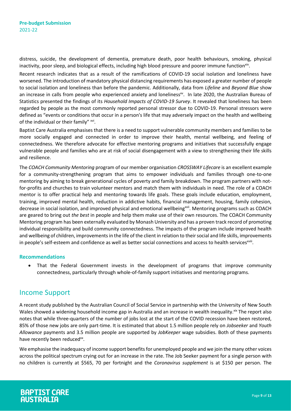distress, suicide, the development of dementia, premature death, poor health behaviours, smoking, physical inactivity, poor sleep, and biological effects, including high blood pressure and poorer immune function<sup>xiv</sup>.

Recent research indicates that as a result of the ramifications of COVID-19 social isolation and loneliness have worsened. The introduction of mandatory physical distancing requirements has exposed a greater number of people to social isolation and loneliness than before the pandemic. Additionally, data from *Lifeline* and *Beyond Blue* show an increase in calls from people who experienced anxiety and loneliness<sup>xv</sup>. In late 2020, the Australian Bureau of Statistics presented the findings of its *Household Impacts of COVID-19 Survey*. It revealed that loneliness has been regarded by people as the most commonly reported personal stressor due to COVID-19. Personal stressors were defined as "events or conditions that occur in a person's life that may adversely impact on the health and wellbeing of the individual or their family" xvi.

Baptist Care Australia emphasises that there is a need to support vulnerable community members and families to be more socially engaged and connected in order to improve their health, mental wellbeing, and feeling of connectedness. We therefore advocate for effective mentoring programs and initiatives that successfully engage vulnerable people and families who are at risk of social disengagement with a view to strengthening their life skills and resilience.

The *COACH Community Mentoring* program of our member organisation *CROSSWAY Lifecare* is an excellent example for a community-strengthening program that aims to empower individuals and families through one-to-one mentoring by aiming to break generational cycles of poverty and family breakdown. The program partners with notfor-profits and churches to train volunteer mentors and match them with individuals in need. The role of a COACH mentor is to offer practical help and mentoring towards life goals. These goals include education, employment, training, improved mental health, reduction in addictive habits, financial management, housing, family cohesion, decrease in social isolation, and improved physical and emotional wellbeing<sup>xvii</sup>. Mentoring programs such as COACH are geared to bring out *the best* in people and help them make use of their own resources. The COACH Community Mentoring program has been externally evaluated by Monash University and has a proven track record of promoting individual responsibility and build community connectedness. The impacts of the program include improved health and wellbeing of children, improvements in the life of the client in relation to their social and life skills, improvements in people's self-esteem and confidence as well as better social connections and access to health services<sup>xviii</sup>.

#### **Recommendations**

• That the Federal Government invests in the development of programs that improve community connectedness, particularly through whole-of-family support initiatives and mentoring programs.

### <span id="page-8-0"></span>Income Support

A recent study published by the Australian Council of Social Service in partnership with the University of New South Wales showed a widening household income gap in Australia and an increase in wealth inequality.<sup>xix</sup> The report also notes that while three-quarters of the number of jobs lost at the start of the COVID recession have been restored, 85% of those new jobs are only part-time. It is estimated that about 1.5 million people rely on *Jobseeker* and *Youth Allowance* payments and 3.5 million people are supported by *JobKeeper* wage subsidies. Both of these payments have recently been reduced<sup>xx</sup>.

We emphasise the inadequacy of income support benefits for unemployed people and we join the many other voices across the political spectrum crying out for an increase in the rate. The Job Seeker payment for a single person with no children is currently at \$565, 70 per fortnight and the *Coronavirus supplement* is at \$150 per person. The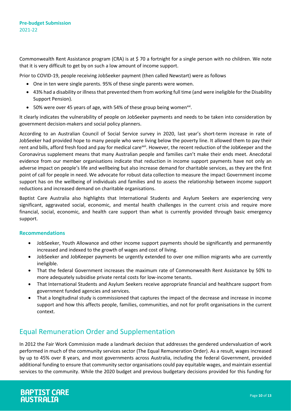Commonwealth Rent Assistance program (CRA) is at \$ 70 a fortnight for a single person with no children. We note that it is very difficult to get by on such a low amount of income support.

Prior to COVID-19, people receiving JobSeeker payment (then called Newstart) were as follows

- One in ten were single parents. 95% of these single parents were women.
- 43% had a disability or illness that prevented them from working full time (and were ineligible for the Disability Support Pension).
- 50% were over 45 years of age, with 54% of these group being women<sup>xxi</sup>.

It clearly indicates the vulnerability of people on JobSeeker payments and needs to be taken into consideration by government decision-makers and social policy planners.

According to an Australian Council of Social Service survey in 2020, last year's short-term increase in rate of JobSeeker had provided hope to many people who were living below the poverty line. It allowed them to pay their rent and bills, afford fresh food and pay for medical care<sup>xxii</sup>. However, the recent reduction of the JobKeeper and the Coronavirus supplement means that many Australian people and families can't make their ends meet. Anecdotal evidence from our member organisations indicate that reduction in income support payments have not only an adverse impact on people's life and wellbeing but also increase demand for charitable services, as they are the first point of call for people in need. We advocate for robust data collection to measure the impact Government income support has on the wellbeing of individuals and families and to assess the relationship between income support reductions and increased demand on charitable organisations.

Baptist Care Australia also highlights that International Students and Asylum Seekers are experiencing very significant, aggravated social, economic, and mental health challenges in the current crisis and require more financial, social, economic, and health care support than what is currently provided through basic emergency support.

### **Recommendations**

- JobSeeker, Youth Allowance and other income support payments should be significantly and permanently increased and indexed to the growth of wages and cost of living.
- JobSeeker and JobKeeper payments be urgently extended to over one million migrants who are currently ineligible.
- That the federal Government increases the maximum rate of Commonwealth Rent Assistance by 50% to more adequately subsidise private rental costs for low-income tenants.
- That International Students and Asylum Seekers receive appropriate financial and healthcare support from government funded agencies and services.
- That a longitudinal study is commissioned that captures the impact of the decrease and increase in income support and how this affects people, families, communities, and not for profit organisations in the current context.

## <span id="page-9-0"></span>Equal Remuneration Order and Supplementation

In 2012 the Fair Work Commission made a landmark decision that addresses the gendered undervaluation of work performed in much of the community services sector (The Equal Remuneration Order). As a result, wages increased by up to 45% over 8 years, and most governments across Australia, including the federal Government, provided additional funding to ensure that community sector organisations could pay equitable wages, and maintain essential services to the community. While the 2020 budget and previous budgetary decisions provided for this funding for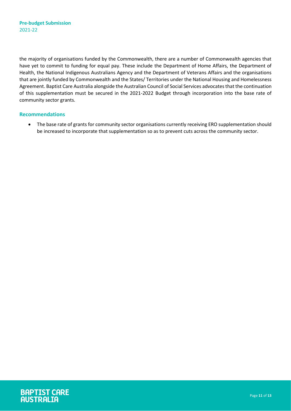the majority of organisations funded by the Commonwealth, there are a number of Commonwealth agencies that have yet to commit to funding for equal pay. These include the Department of Home Affairs, the Department of Health, the National Indigenous Australians Agency and the Department of Veterans Affairs and the organisations that are jointly funded by Commonwealth and the States/ Territories under the National Housing and Homelessness Agreement. Baptist Care Australia alongside the Australian Council of Social Services advocates that the continuation of this supplementation must be secured in the 2021-2022 Budget through incorporation into the base rate of community sector grants.

### **Recommendations**

• The base rate of grants for community sector organisations currently receiving ERO supplementation should be increased to incorporate that supplementation so as to prevent cuts across the community sector.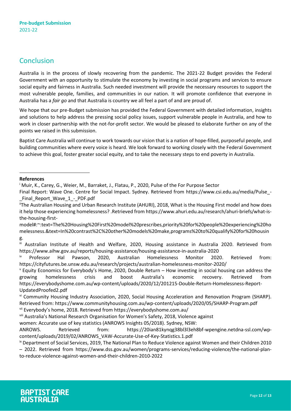## <span id="page-11-0"></span>Conclusion

Australia is in the process of slowly recovering from the pandemic. The 2021-22 Budget provides the Federal Government with an opportunity to stimulate the economy by investing in social programs and services to ensure social equity and fairness in Australia. Such needed investment will provide the necessary resources to support the most vulnerable people, families, and communities in our nation. It will promote confidence that everyone in Australia has a *fair go* and that Australia is country we all feel a part of and are proud of.

We hope that our pre-Budget submission has provided the Federal Government with detailed information, insights and solutions to help address the pressing social policy issues, support vulnerable people in Australia, and how to work in closer partnership with the not-for-profit sector. We would be pleased to elaborate further on any of the points we raised in this submission.

Baptist Care Australia will continue to work towards our vision that is a nation of hope-filled, purposeful people, and building communities where every voice is heard. We look forward to working closely with the Federal Government to achieve this goal, foster greater social equity, and to take the necessary steps to end poverty in Australia.

### **References**

 $\overline{a}$ 

Final Report: Wave One. Centre for Social Impact. Sydney. Retrieved from https://www.csi.edu.au/media/Pulse\_- \_Final\_Report\_Wave\_1\_-\_PDF.pdf

model#:~:text=The%20Housing%20First%20model%20prescribes,priority%20for%20people%20experiencing%20ho melessness.&text=In%20contrast%2C%20other%20models%20make,programs%20to%20qualify%20for%20housin g.

iii Australian Institute of Health and Welfare, 2020, Housing assistance in Australia 2020. Retrieved from https://www.aihw.gov.au/reports/housing-assistance/housing-assistance-in-australia-2020

<sup>iv</sup> Professor Hal Pawson, 2020, Australian Homelessness Monitor 2020. Retrieved from: https://cityfutures.be.unsw.edu.au/research/projects/australian-homelessness-monitor-2020/

 $\overline{v}$  Equity Economics for Everybody's Home, 2020, Double Return – How investing in social housing can address the growing homelessness crisis and boost Australia's economic recovery. Retrieved from https://everybodyshome.com.au/wp-content/uploads/2020/12/201215-Double-Return-Homelessness-Report-UpdatedProofed2.pdf

vi Community Housing Industry Association, 2020, Social Housing Acceleration and Renovation Program (SHARP). Retrieved from: https://www.communityhousing.com.au/wp-content/uploads/2020/05/SHARP-Program.pdf

vii Everybody's home, 2018. Retrieved from https://everybodyshome.com.au/

viii Australia's National Research Organisation for Women's Safety, 2018, Violence against

women: Accurate use of key statistics (ANROWS Insights 05/2018). Sydney, NSW:

ANROWS. Retrieved from: https://20ian81kynqg38bl3l3eh8bf-wpengine.netdna-ssl.com/wpcontent/uploads/2019/02/ANROWS\_VAW-Accurate-Use-of-Key-Statistics.1.pdf

<sup>&</sup>lt;sup>i</sup> Muir, K., Carey, G., Weier, M., Barraket, J., Flatau, P., 2020, Pulse of the For Purpose Sector

<sup>&</sup>lt;sup>ii</sup>The Australian Housing and Urban Research Institute (AHURI), 2018, What is the Housing First model and how does it help those experiencing homelessness? .Retrieved from https://www.ahuri.edu.au/research/ahuri-briefs/what-isthe-housing-first-

ix Department of Social Services, 2019, The National Plan to Reduce Violence against Women and their Children 2010 – 2022. Retrieved from https://www.dss.gov.au/women/programs-services/reducing-violence/the-national-planto-reduce-violence-against-women-and-their-children-2010-2022